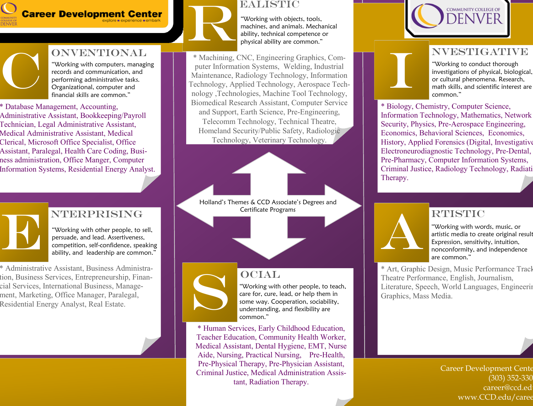

\* Database Management, Accounting,

Administrative Assistant, Bookkeeping/Payroll Technician, Legal Administrative Assistant, Medical Administrative Assistant, Medical Clerical, Microsoft Office Specialist, Office Assistant, Paralegal, Health Care Coding, Business administration, Office Manger, Computer Information Systems, Residential Energy Analyst.

**ONVENTIONAL** 

"Working with computers, managing records and communication, and performing administrative tasks. Organizational, computer and financial skills are common."

C

E

í



#### EALISTIC

"Working with objects, tools, machines, and animals. Mechanical ability, technical competence or physical ability are common."

\* Machining, CNC, Engineering Graphics, Computer Information Systems, Welding, Industrial Maintenance, Radiology Technology, Information Technology, Applied Technology, Aerospace Technology ,Technologies, Machine Tool Technology, Biomedical Research Assistant, Computer Service and Support, Earth Science, Pre-Engineering, Telecomm Technology, Technical Theatre, Homeland Security/Public Safety, Radiologic Technology, Veterinary Technology.

Holland's Themes & CCD Associate's Degrees and Certificate Programs

# S

**OCIAL** "Working with other people, to teach, care for, cure, lead, or help them in some way. Cooperation, sociability, understanding, and flexibility are common."

\* Human Services, Early Childhood Education, Teacher Education, Community Health Worker, Medical Assistant, Dental Hygiene, EMT, Nurse Aide, Nursing, Practical Nursing, Pre-Health, Pre-Physical Therapy, Pre-Physician Assistant, Criminal Justice, Medical Administration Assistant, Radiation Therapy.



#### nvestigative

"Working to conduct thorough investigations of physical, biological, or cultural phenomena. Research, math skills, and scientific interest are common."

\* Biology, Chemistry, Computer Science, Information Technology, Mathematics, Network Security, Physics, Pre-Aerospace Engineering, Economics, Behavioral Sciences, Economics, History, Applied Forensics (Digital, Investigative), Electroneurodiagnostic Technology, Pre-Dental, Pre-Pharmacy, Computer Information Systems, Criminal Justice, Radiology Technology, Radiati Therapy.

#### **RTISTIC**



**I** 

 $\overline{a}$ 

"Working with words, music, or artistic media to create original result Expression, sensitivity, intuition, nonconformity, and independence are common."

\* Art, Graphic Design, Music Performance Track, Theatre Performance, English, Journalism, Literature, Speech, World Languages, Engineering Graphics, Mass Media.

> Career Development Cente (303) 352-330 career@ccd.ed www.CCD.edu/caree

## **NTERPRISING**

"Working with other people, to sell, persuade, and lead. Assertiveness, competition, self-confidence, speaking ability, and leadership are common."

\* Administrative Assistant, Business Administration, Business Services, Entrepreneurship, Financial Services, International Business, Management, Marketing, Office Manager, Paralegal, Residential Energy Analyst, Real Estate.